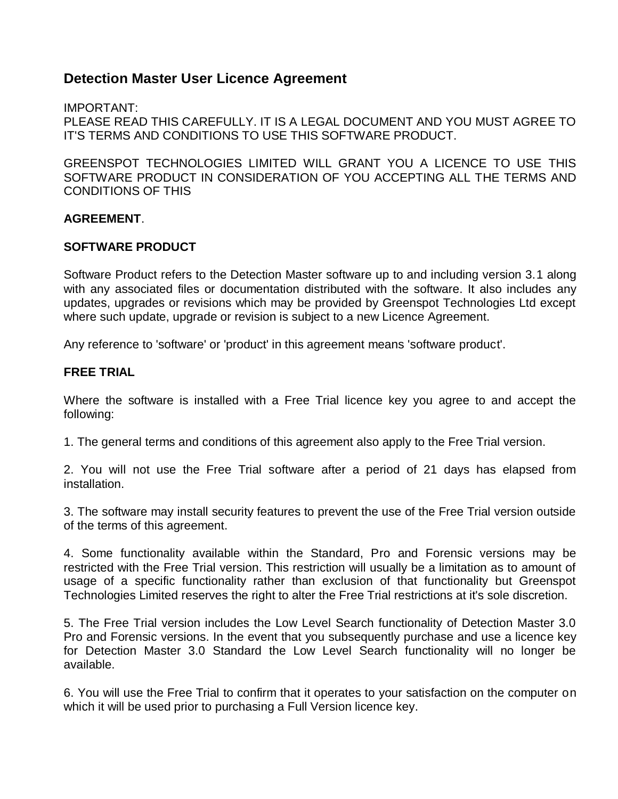# **Detection Master User Licence Agreement**

IMPORTANT: PLEASE READ THIS CAREFULLY. IT IS A LEGAL DOCUMENT AND YOU MUST AGREE TO IT'S TERMS AND CONDITIONS TO USE THIS SOFTWARE PRODUCT.

GREENSPOT TECHNOLOGIES LIMITED WILL GRANT YOU A LICENCE TO USE THIS SOFTWARE PRODUCT IN CONSIDERATION OF YOU ACCEPTING ALL THE TERMS AND CONDITIONS OF THIS

#### **AGREEMENT**.

### **SOFTWARE PRODUCT**

Software Product refers to the Detection Master software up to and including version 3.1 along with any associated files or documentation distributed with the software. It also includes any updates, upgrades or revisions which may be provided by Greenspot Technologies Ltd except where such update, upgrade or revision is subject to a new Licence Agreement.

Any reference to 'software' or 'product' in this agreement means 'software product'.

#### **FREE TRIAL**

Where the software is installed with a Free Trial licence key you agree to and accept the following:

1. The general terms and conditions of this agreement also apply to the Free Trial version.

2. You will not use the Free Trial software after a period of 21 days has elapsed from installation.

3. The software may install security features to prevent the use of the Free Trial version outside of the terms of this agreement.

4. Some functionality available within the Standard, Pro and Forensic versions may be restricted with the Free Trial version. This restriction will usually be a limitation as to amount of usage of a specific functionality rather than exclusion of that functionality but Greenspot Technologies Limited reserves the right to alter the Free Trial restrictions at it's sole discretion.

5. The Free Trial version includes the Low Level Search functionality of Detection Master 3.0 Pro and Forensic versions. In the event that you subsequently purchase and use a licence key for Detection Master 3.0 Standard the Low Level Search functionality will no longer be available.

6. You will use the Free Trial to confirm that it operates to your satisfaction on the computer on which it will be used prior to purchasing a Full Version licence key.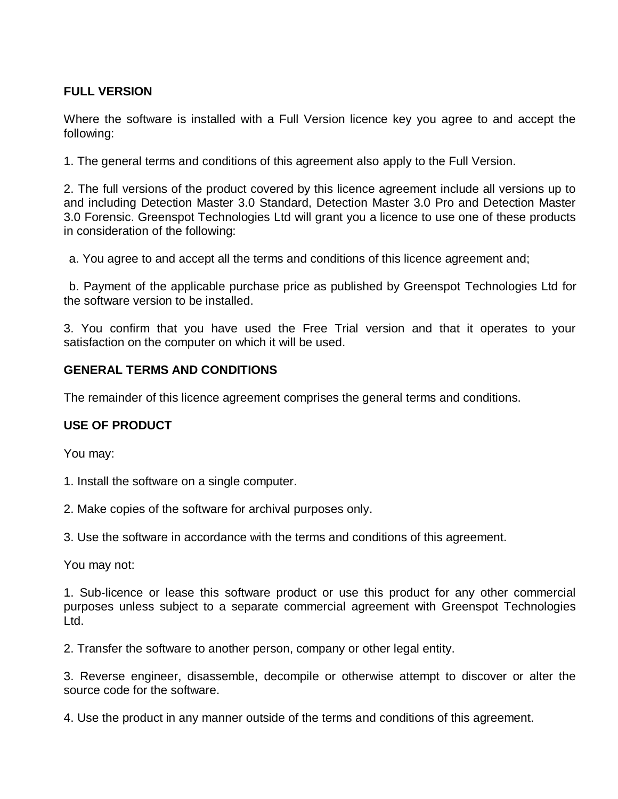## **FULL VERSION**

Where the software is installed with a Full Version licence key you agree to and accept the following:

1. The general terms and conditions of this agreement also apply to the Full Version.

2. The full versions of the product covered by this licence agreement include all versions up to and including Detection Master 3.0 Standard, Detection Master 3.0 Pro and Detection Master 3.0 Forensic. Greenspot Technologies Ltd will grant you a licence to use one of these products in consideration of the following:

a. You agree to and accept all the terms and conditions of this licence agreement and;

b. Payment of the applicable purchase price as published by Greenspot Technologies Ltd for the software version to be installed.

3. You confirm that you have used the Free Trial version and that it operates to your satisfaction on the computer on which it will be used.

### **GENERAL TERMS AND CONDITIONS**

The remainder of this licence agreement comprises the general terms and conditions.

## **USE OF PRODUCT**

You may:

- 1. Install the software on a single computer.
- 2. Make copies of the software for archival purposes only.

3. Use the software in accordance with the terms and conditions of this agreement.

You may not:

1. Sub-licence or lease this software product or use this product for any other commercial purposes unless subject to a separate commercial agreement with Greenspot Technologies Ltd.

2. Transfer the software to another person, company or other legal entity.

3. Reverse engineer, disassemble, decompile or otherwise attempt to discover or alter the source code for the software.

4. Use the product in any manner outside of the terms and conditions of this agreement.